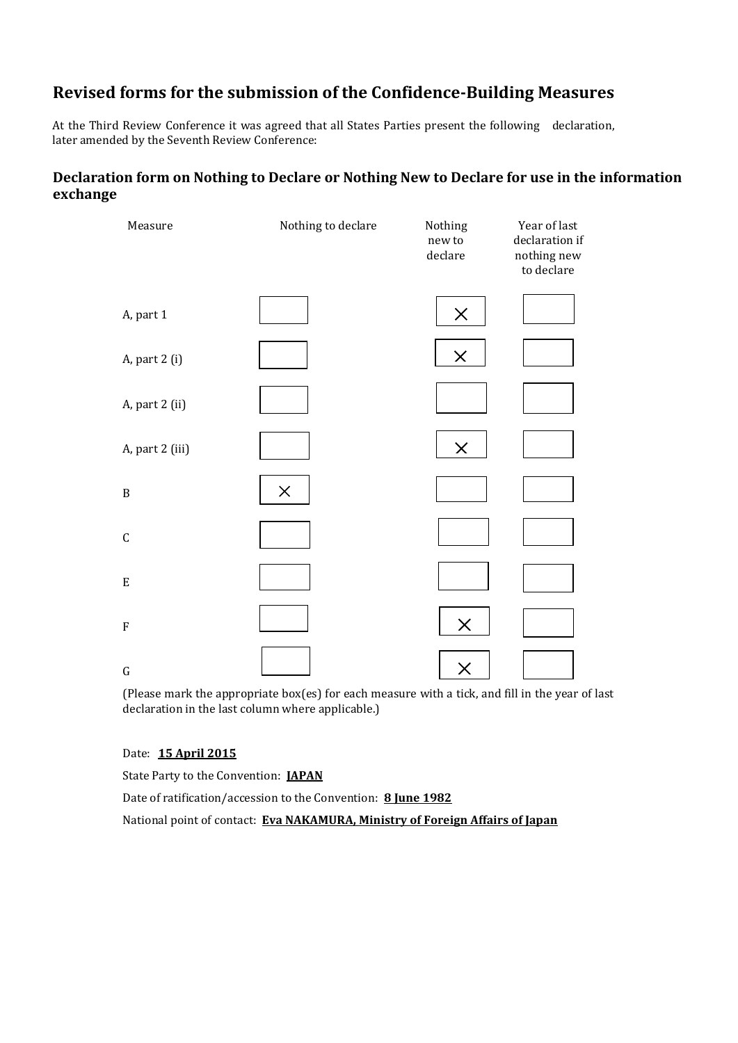# **Revised forms for the submission of the Confidence-Building Measures**

At the Third Review Conference it was agreed that all States Parties present the following declaration, later amended by the Seventh Review Conference:

## **Declaration form on Nothing to Declare or Nothing New to Declare for use in the information exchange**

| Measure         | Nothing to declare | Nothing<br>new to<br>declare | Year of last<br>declaration if<br>nothing new<br>to declare |
|-----------------|--------------------|------------------------------|-------------------------------------------------------------|
| A, part 1       |                    | $\times$                     |                                                             |
| A, part 2 (i)   |                    | $\times$                     |                                                             |
| A, part 2 (ii)  |                    |                              |                                                             |
| A, part 2 (iii) |                    | $\pmb{\times}$               |                                                             |
| $\, {\bf B}$    | $\times$           |                              |                                                             |
| $\mathsf C$     |                    |                              |                                                             |
| ${\bf E}$       |                    |                              |                                                             |
| ${\bf F}$       |                    | $\times$                     |                                                             |
| ${\bf G}$       |                    | $\times$                     |                                                             |

(Please mark the appropriate box(es) for each measure with a tick, and fill in the year of last declaration in the last column where applicable.)

#### Date: **15 April 2015**

State Party to the Convention: **JAPAN**

Date of ratification/accession to the Convention: **8 June 1982**

National point of contact: **Eva NAKAMURA, Ministry of Foreign Affairs of Japan**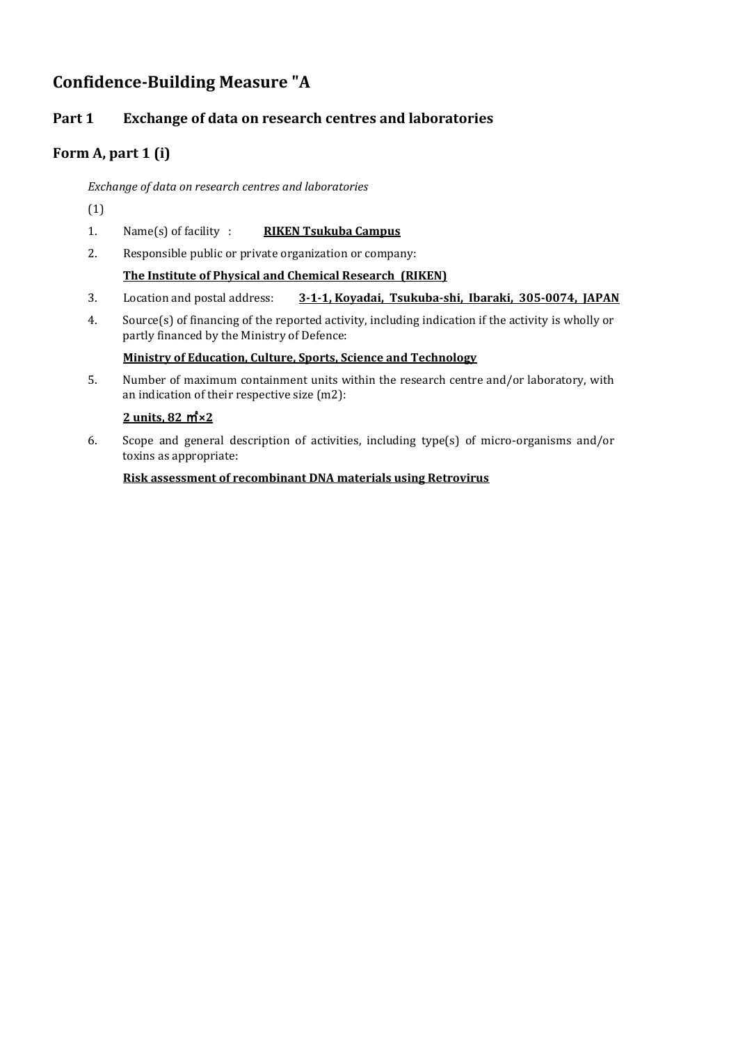# **Confidence-Building Measure "A**

## **Part 1 Exchange of data on research centres and laboratories**

## **Form A, part 1 (i)**

*Exchange of data on research centres and laboratories*

- (1)
- 1. Name(s) of facility : **RIKEN Tsukuba Campus**
- 2. Responsible public or private organization or company:

#### **The Institute of Physical and Chemical Research (RIKEN)**

- 3. Location and postal address: **3-1-1, Koyadai, Tsukuba-shi, Ibaraki, 305-0074, JAPAN**
- 4. Source(s) of financing of the reported activity, including indication if the activity is wholly or partly financed by the Ministry of Defence:

#### **Ministry of Education, Culture, Sports, Science and Technology**

5. Number of maximum containment units within the research centre and/or laboratory, with an indication of their respective size (m2):

#### **2 units, 82** ㎡**×2**

6. Scope and general description of activities, including type(s) of micro-organisms and/or toxins as appropriate:

#### **Risk assessment of recombinant DNA materials using Retrovirus**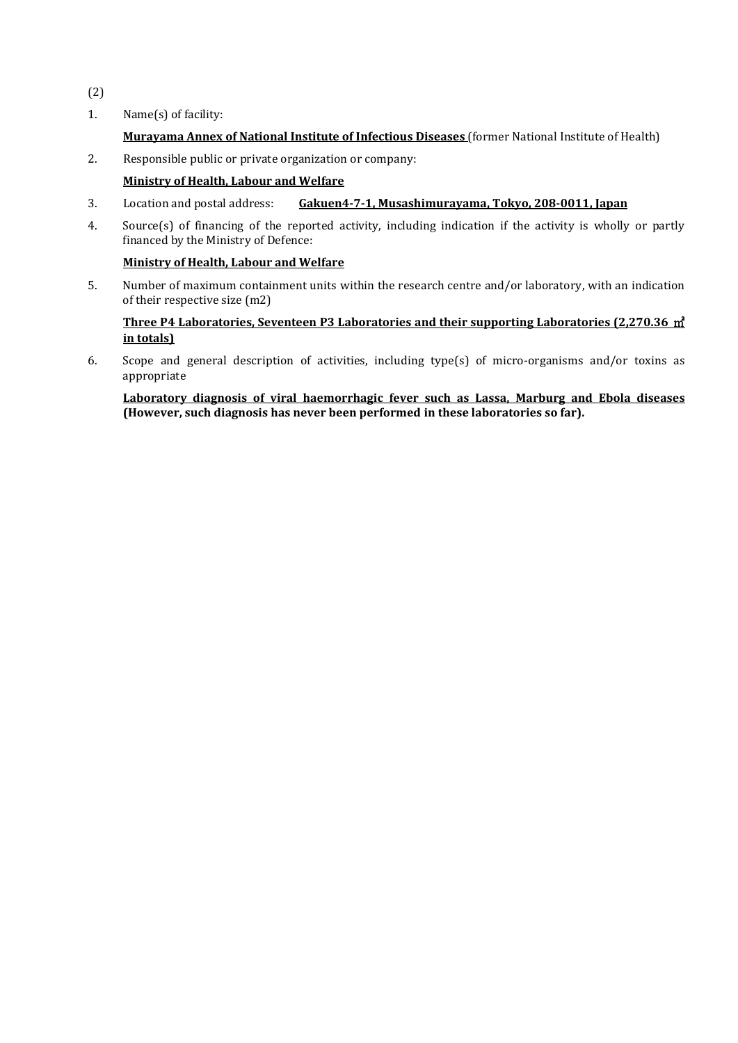- (2)
- 1. Name(s) of facility:

#### **Murayama Annex of National Institute of Infectious Diseases** (former National Institute of Health)

2. Responsible public or private organization or company:

#### **Ministry of Health, Labour and Welfare**

- 3. Location and postal address: **Gakuen4-7-1, Musashimurayama, Tokyo, 208-0011, Japan**
- 4. Source(s) of financing of the reported activity, including indication if the activity is wholly or partly financed by the Ministry of Defence:

#### **Ministry of Health, Labour and Welfare**

5. Number of maximum containment units within the research centre and/or laboratory, with an indication of their respective size (m2)

#### **Three P4 Laboratories, Seventeen P3 Laboratories and their supporting Laboratories (2,270.36** ㎡ **in totals)**

6. Scope and general description of activities, including type(s) of micro-organisms and/or toxins as appropriate

**Laboratory diagnosis of viral haemorrhagic fever such as Lassa, Marburg and Ebola diseases (However, such diagnosis has never been performed in these laboratories so far).**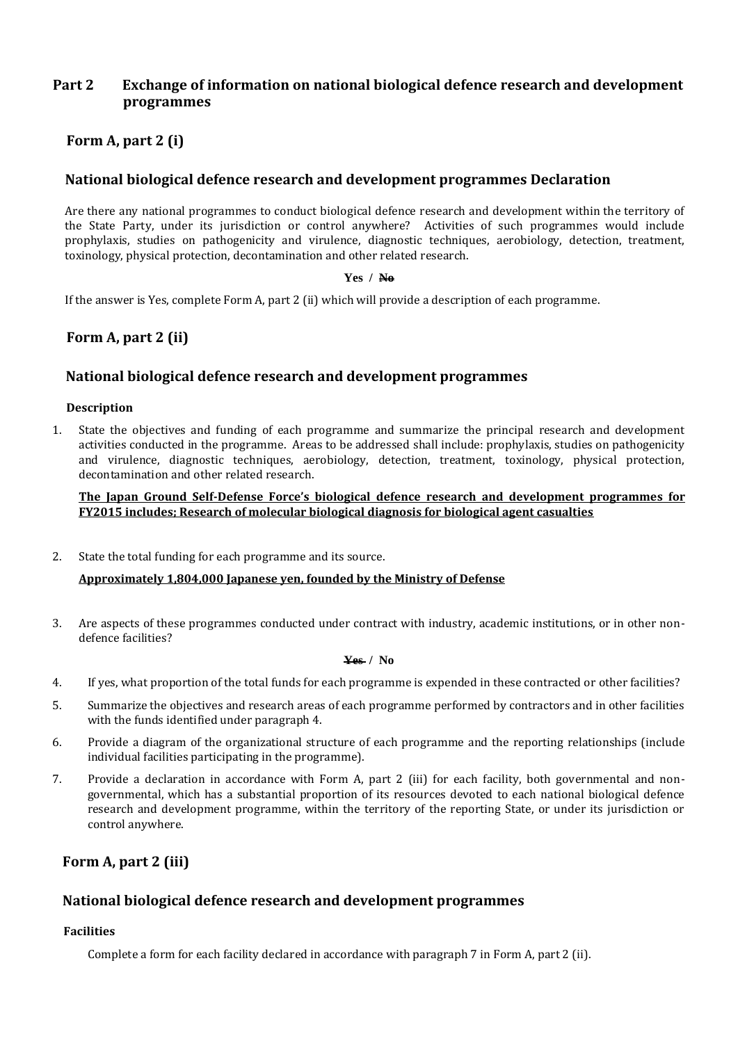## **Part 2 Exchange of information on national biological defence research and development programmes**

## **Form A, part 2 (i)**

## **National biological defence research and development programmes Declaration**

Are there any national programmes to conduct biological defence research and development within the territory of the State Party, under its jurisdiction or control anywhere? Activities of such programmes would include prophylaxis, studies on pathogenicity and virulence, diagnostic techniques, aerobiology, detection, treatment, toxinology, physical protection, decontamination and other related research.

#### **Yes / No**

If the answer is Yes, complete Form A, part 2 (ii) which will provide a description of each programme.

## **Form A, part 2 (ii)**

#### **National biological defence research and development programmes**

#### **Description**

1. State the objectives and funding of each programme and summarize the principal research and development activities conducted in the programme. Areas to be addressed shall include: prophylaxis, studies on pathogenicity and virulence, diagnostic techniques, aerobiology, detection, treatment, toxinology, physical protection, decontamination and other related research.

**The Japan Ground Self-Defense Force's biological defence research and development programmes for FY2015 includes; Research of molecular biological diagnosis for biological agent casualties**

2. State the total funding for each programme and its source.

#### **Approximately 1,804,000 Japanese yen, founded by the Ministry of Defense**

3. Are aspects of these programmes conducted under contract with industry, academic institutions, or in other nondefence facilities?

#### **Yes / No**

- 4. If yes, what proportion of the total funds for each programme is expended in these contracted or other facilities?
- 5. Summarize the objectives and research areas of each programme performed by contractors and in other facilities with the funds identified under paragraph 4.
- 6. Provide a diagram of the organizational structure of each programme and the reporting relationships (include individual facilities participating in the programme).
- 7. Provide a declaration in accordance with Form A, part 2 (iii) for each facility, both governmental and nongovernmental, which has a substantial proportion of its resources devoted to each national biological defence research and development programme, within the territory of the reporting State, or under its jurisdiction or control anywhere.

## **Form A, part 2 (iii)**

## **National biological defence research and development programmes**

#### **Facilities**

Complete a form for each facility declared in accordance with paragraph 7 in Form A, part 2 (ii).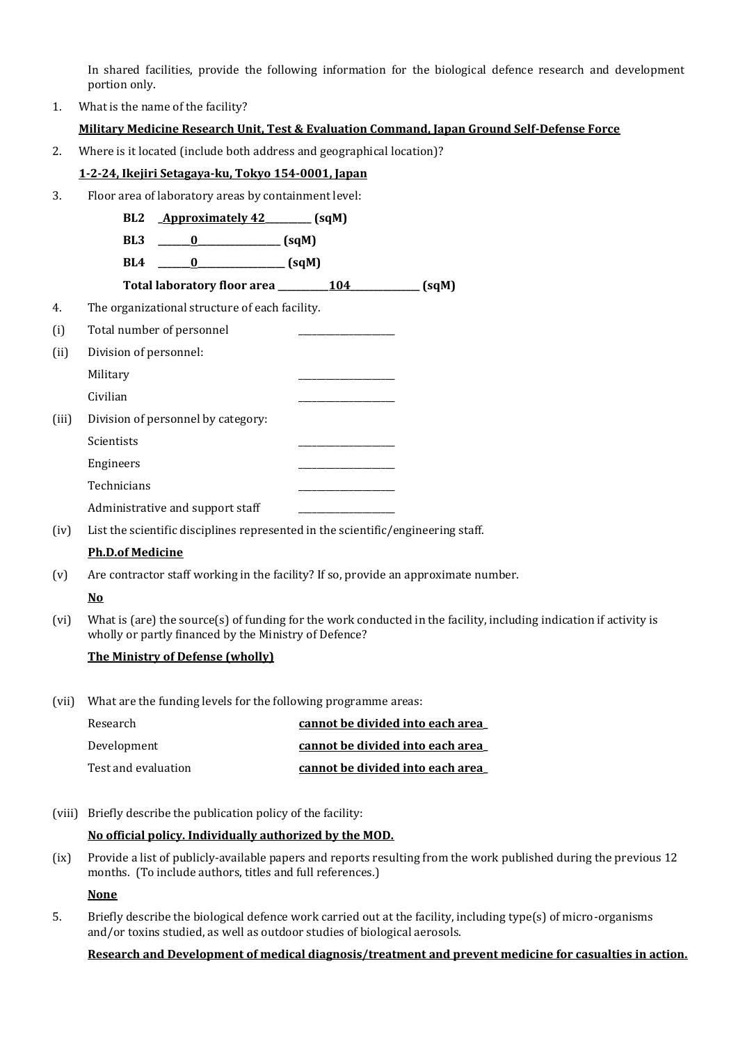In shared facilities, provide the following information for the biological defence research and development portion only.

1. What is the name of the facility?

#### **Military Medicine Research Unit, Test & Evaluation Command, Japan Ground Self-Defense Force**

2. Where is it located (include both address and geographical location)?

#### **1-2-24, Ikejiri Setagaya-ku, Tokyo 154-0001, Japan**

3. Floor area of laboratory areas by containment level:

|       | BL <sub>2</sub>                                   | Approximately 42 _______ (sqM) |       |
|-------|---------------------------------------------------|--------------------------------|-------|
|       | BL <sub>3</sub><br>$0$ (sqM)                      |                                |       |
|       | $\frac{1}{\text{sgn}(q)}$<br>BL4<br>$\bf{0}$      |                                |       |
|       | Total laboratory floor area _________ 104 _______ |                                | (sqM) |
| 4.    | The organizational structure of each facility.    |                                |       |
| (i)   | Total number of personnel                         |                                |       |
| (ii)  | Division of personnel:                            |                                |       |
|       | Military                                          |                                |       |
|       | Civilian                                          |                                |       |
| (iii) | Division of personnel by category:                |                                |       |
|       | Scientists                                        |                                |       |
|       | Engineers                                         |                                |       |
|       | Technicians                                       |                                |       |
|       | Administrative and support staff                  |                                |       |

(iv) List the scientific disciplines represented in the scientific/engineering staff.

#### **Ph.D.of Medicine**

(v) Are contractor staff working in the facility? If so, provide an approximate number.

#### **No**

(vi) What is (are) the source(s) of funding for the work conducted in the facility, including indication if activity is wholly or partly financed by the Ministry of Defence?

#### **The Ministry of Defense (wholly)**

(vii) What are the funding levels for the following programme areas:

| Research            | cannot be divided into each area |
|---------------------|----------------------------------|
| Development         | cannot be divided into each area |
| Test and evaluation | cannot be divided into each area |

(viii) Briefly describe the publication policy of the facility:

#### **No official policy. Individually authorized by the MOD.**

(ix) Provide a list of publicly-available papers and reports resulting from the work published during the previous 12 months. (To include authors, titles and full references.)

**None**

5. Briefly describe the biological defence work carried out at the facility, including type(s) of micro-organisms and/or toxins studied, as well as outdoor studies of biological aerosols.

#### **Research and Development of medical diagnosis/treatment and prevent medicine for casualties in action.**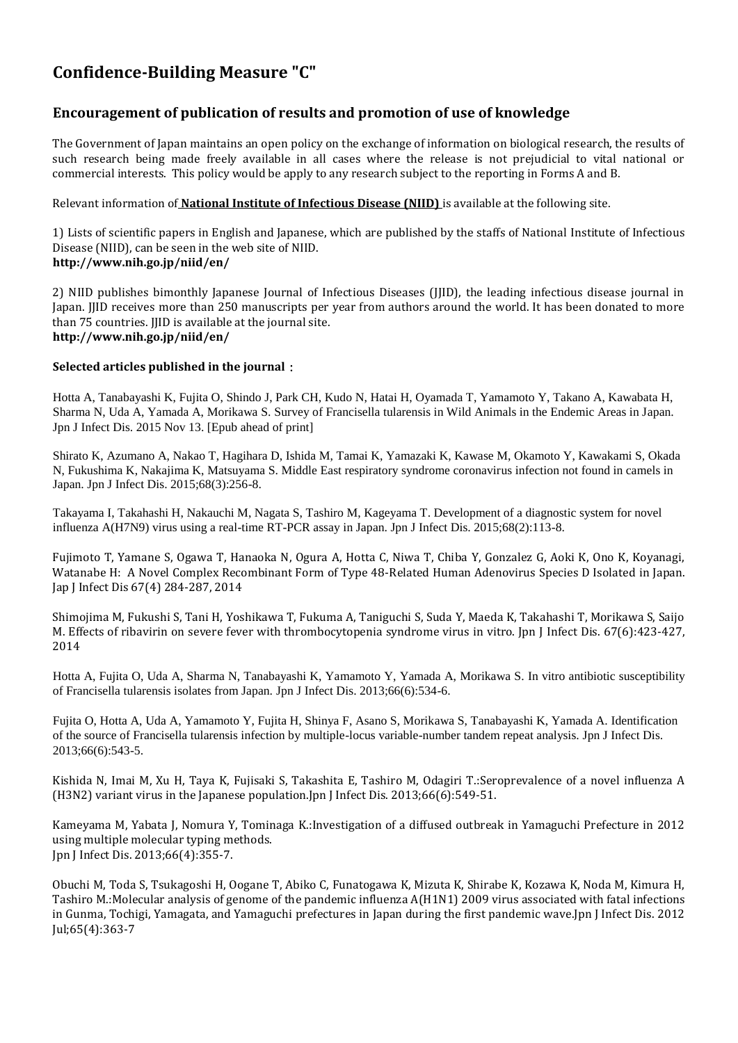# **Confidence-Building Measure "C"**

## **Encouragement of publication of results and promotion of use of knowledge**

The Government of Japan maintains an open policy on the exchange of information on biological research, the results of such research being made freely available in all cases where the release is not prejudicial to vital national or commercial interests. This policy would be apply to any research subject to the reporting in Forms A and B.

Relevant information of **National Institute of Infectious Disease (NIID)** is available at the following site.

1) Lists of scientific papers in English and Japanese, which are published by the staffs of National Institute of Infectious Disease (NIID), can be seen in the web site of NIID. **http://www.nih.go.jp/niid/en/**

2) NIID publishes bimonthly Japanese Journal of Infectious Diseases (JJID), the leading infectious disease journal in Japan. JJID receives more than 250 manuscripts per year from authors around the world. It has been donated to more than 75 countries. JJID is available at the journal site. **http://www.nih.go.jp/niid/en/**

#### **Selected articles published in the journal**:

Hotta A, Tanabayashi K, Fujita O, Shindo J, Park CH, Kudo N, Hatai H, Oyamada T, Yamamoto Y, Takano A, Kawabata H, Sharma N, Uda A, Yamada A, Morikawa S. Survey of Francisella tularensis in Wild Animals in the Endemic Areas in Japan. Jpn J Infect Dis. 2015 Nov 13. [Epub ahead of print]

Shirato K, Azumano A, Nakao T, Hagihara D, Ishida M, Tamai K, Yamazaki K, Kawase M, Okamoto Y, Kawakami S, Okada N, Fukushima K, Nakajima K, Matsuyama S. Middle East respiratory syndrome coronavirus infection not found in camels in Japan. Jpn J Infect Dis. 2015;68(3):256-8.

Takayama I, Takahashi H, Nakauchi M, Nagata S, Tashiro M, Kageyama T. Development of a diagnostic system for novel influenza A(H7N9) virus using a real-time RT-PCR assay in Japan. Jpn J Infect Dis. 2015;68(2):113-8.

Fujimoto T, Yamane S, Ogawa T, Hanaoka N, Ogura A, Hotta C, Niwa T, Chiba Y, Gonzalez G, Aoki K, Ono K, Koyanagi, Watanabe H: A Novel Complex Recombinant Form of Type 48-Related Human Adenovirus Species D Isolated in Japan. Jap J Infect Dis 67(4) 284-287, 2014

Shimojima M, Fukushi S, Tani H, Yoshikawa T, Fukuma A, Taniguchi S, Suda Y, Maeda K, Takahashi T, Morikawa S, Saijo M. Effects of ribavirin on severe fever with thrombocytopenia syndrome virus in vitro. Jpn J Infect Dis. 67(6):423-427, 2014

Hotta A, Fujita O, Uda A, Sharma N, Tanabayashi K, Yamamoto Y, Yamada A, Morikawa S. In vitro antibiotic susceptibility of Francisella tularensis isolates from Japan. Jpn J Infect Dis. 2013;66(6):534-6.

Fujita O, Hotta A, Uda A, Yamamoto Y, Fujita H, Shinya F, Asano S, Morikawa S, Tanabayashi K, Yamada A. Identification of the source of Francisella tularensis infection by multiple-locus variable-number tandem repeat analysis. Jpn J Infect Dis. 2013;66(6):543-5.

Kishida N, Imai M, Xu H, Taya K, Fujisaki S, Takashita E, Tashiro M, Odagiri T.[:Seroprevalence of a novel influenza A](http://www.ncbi.nlm.nih.gov/pubmed/24270150)  [\(H3N2\) variant virus in the Japanese population.J](http://www.ncbi.nlm.nih.gov/pubmed/24270150)pn J Infect Dis. 2013;66(6):549-51.

Kameyama M, Yabata J, Nomura Y, Tominaga K.[:Investigation of a diffused outbreak in Yamaguchi Prefecture in 2012](http://www.ncbi.nlm.nih.gov/pubmed/23883855)  [using multiple molecular typing methods.](http://www.ncbi.nlm.nih.gov/pubmed/23883855) Jpn J Infect Dis. 2013;66(4):355-7.

Obuchi M, Toda S, Tsukagoshi H, Oogane T, Abiko C, Funatogawa K, Mizuta K, Shirabe K, Kozawa K, Noda M, Kimura H, Tashiro M.:Molecular analysis of genome [of the pandemic](http://www.ncbi.nlm.nih.gov/pubmed/22814167) influenza A(H1N1) 2009 virus associated with fatal infections [in Gunma, Tochigi, Yamagata, and Yamaguchi](http://www.ncbi.nlm.nih.gov/pubmed/22814167) prefectures in Japan during the first pandemic wave.Jpn J Infect Dis. 2012 Jul;65(4):363-7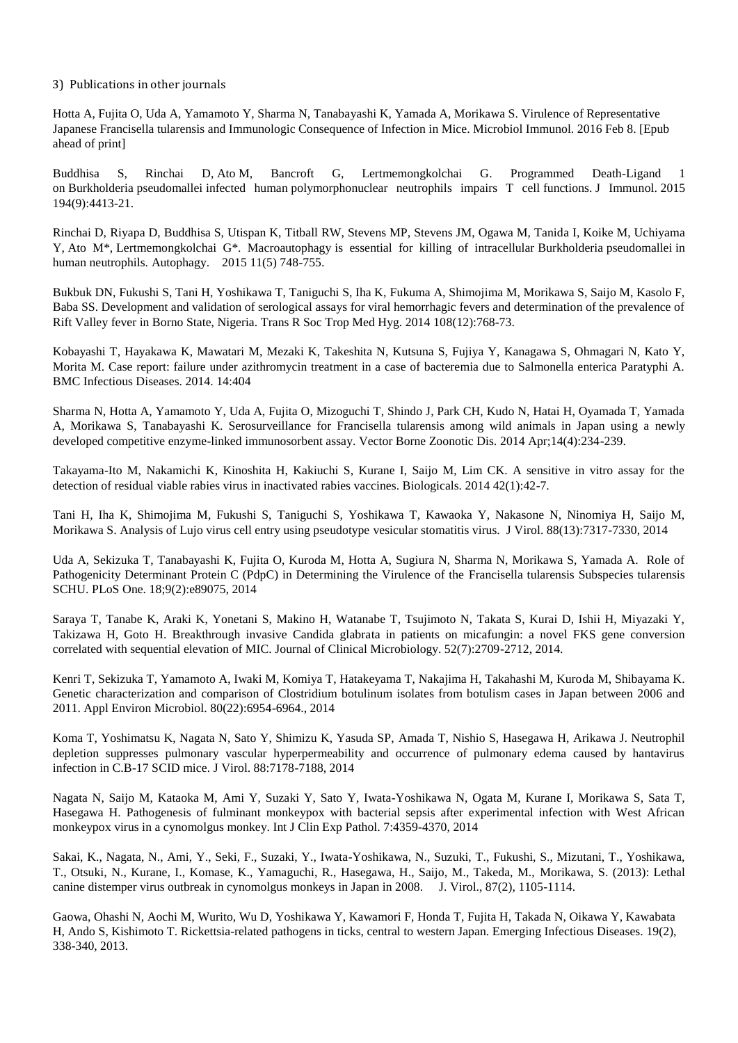3) Publications in other journals

Hotta A, Fujita O, Uda A, Yamamoto Y, Sharma N, Tanabayashi K, Yamada A, Morikawa S. Virulence of Representative Japanese Francisella tularensis and Immunologic Consequence of Infection in Mice. Microbiol Immunol. 2016 Feb 8. [Epub ahead of print]

Buddhisa S, Rinchai D, Ato M, Bancroft G, Lertmemongkolchai G. Programmed Death-Ligand 1 on Burkholderia pseudomallei infected human polymorphonuclear neutrophils impairs T cell functions. J Immunol. 2015 194(9):4413-21.

Rinchai D, Riyapa D, Buddhisa S, Utispan K, Titball RW, Stevens MP, Stevens JM, Ogawa M, Tanida I, Koike M, Uchiyama Y, Ato M\*, Lertmemongkolchai G\*. Macroautophagy is essential for killing of intracellular Burkholderia pseudomallei in human neutrophils. Autophagy. 2015 11(5) 748-755.

Bukbuk DN, Fukushi S, Tani H, Yoshikawa T, Taniguchi S, Iha K, Fukuma A, Shimojima M, Morikawa S, Saijo M, Kasolo F, Baba SS. Development and validation of serological assays for viral hemorrhagic fevers and determination of the prevalence of Rift Valley fever in Borno State, Nigeria. Trans R Soc Trop Med Hyg. 2014 108(12):768-73.

Kobayashi T, Hayakawa K, Mawatari M, Mezaki K, Takeshita N, Kutsuna S, Fujiya Y, Kanagawa S, Ohmagari N, Kato Y, Morita M. Case report: failure under azithromycin treatment in a case of bacteremia due to Salmonella enterica Paratyphi A. BMC Infectious Diseases. 2014. 14:404

Sharma N, Hotta A, Yamamoto Y, Uda A, Fujita O, Mizoguchi T, Shindo J, Park CH, Kudo N, Hatai H, Oyamada T, Yamada A, Morikawa S, Tanabayashi K. Serosurveillance for Francisella tularensis among wild animals in Japan using a newly developed competitive enzyme-linked immunosorbent assay. Vector Borne Zoonotic Dis. 2014 Apr;14(4):234-239.

Takayama-Ito M, Nakamichi K, Kinoshita H, Kakiuchi S, Kurane I, Saijo M, Lim CK. A sensitive in vitro assay for the detection of residual viable rabies virus in inactivated rabies vaccines. Biologicals. 2014 42(1):42-7.

Tani H, Iha K, Shimojima M, Fukushi S, Taniguchi S, Yoshikawa T, Kawaoka Y, Nakasone N, Ninomiya H, Saijo M, Morikawa S. Analysis of Lujo virus cell entry using pseudotype vesicular stomatitis virus. J Virol. 88(13):7317-7330, 2014

Uda A, Sekizuka T, Tanabayashi K, Fujita O, Kuroda M, Hotta A, Sugiura N, Sharma N, Morikawa S, Yamada A. Role of Pathogenicity Determinant Protein C (PdpC) in Determining the Virulence of the Francisella tularensis Subspecies tularensis SCHU. PLoS One. 18;9(2):e89075, 2014

Saraya T, Tanabe K, Araki K, Yonetani S, Makino H, Watanabe T, Tsujimoto N, Takata S, Kurai D, Ishii H, Miyazaki Y, Takizawa H, Goto H. Breakthrough invasive Candida glabrata in patients on micafungin: a novel FKS gene conversion correlated with sequential elevation of MIC. Journal of Clinical Microbiology. 52(7):2709-2712, 2014.

Kenri T, Sekizuka T, Yamamoto A, Iwaki M, Komiya T, Hatakeyama T, Nakajima H, Takahashi M, Kuroda M, Shibayama K. Genetic characterization and comparison of Clostridium botulinum isolates from botulism cases in Japan between 2006 and 2011. Appl Environ Microbiol. 80(22):6954-6964., 2014

Koma T, Yoshimatsu K, Nagata N, Sato Y, Shimizu K, Yasuda SP, Amada T, Nishio S, Hasegawa H, Arikawa J. Neutrophil depletion suppresses pulmonary vascular hyperpermeability and occurrence of pulmonary edema caused by hantavirus infection in C.B-17 SCID mice. J Virol. 88:7178-7188, 2014

Nagata N, Saijo M, Kataoka M, Ami Y, Suzaki Y, Sato Y, Iwata-Yoshikawa N, Ogata M, Kurane I, Morikawa S, Sata T, Hasegawa H. Pathogenesis of fulminant monkeypox with bacterial sepsis after experimental infection with West African monkeypox virus in a cynomolgus monkey. Int J Clin Exp Pathol. 7:4359-4370, 2014

Sakai, K., Nagata, N., Ami, Y., Seki, F., Suzaki, Y., Iwata-Yoshikawa, N., Suzuki, T., Fukushi, S., Mizutani, T., Yoshikawa, T., Otsuki, N., Kurane, I., Komase, K., Yamaguchi, R., Hasegawa, H., Saijo, M., Takeda, M., Morikawa, S. (2013): Lethal canine distemper virus outbreak in cynomolgus monkeys in Japan in 2008. J. Virol., 87(2), 1105-1114.

Gaowa, Ohashi N, Aochi M, Wurito, Wu D, Yoshikawa Y, Kawamori F, Honda T, Fujita H, Takada N, Oikawa Y, Kawabata H, Ando S, Kishimoto T. Rickettsia-related pathogens in ticks, central to western Japan. Emerging Infectious Diseases. 19(2), 338-340, 2013.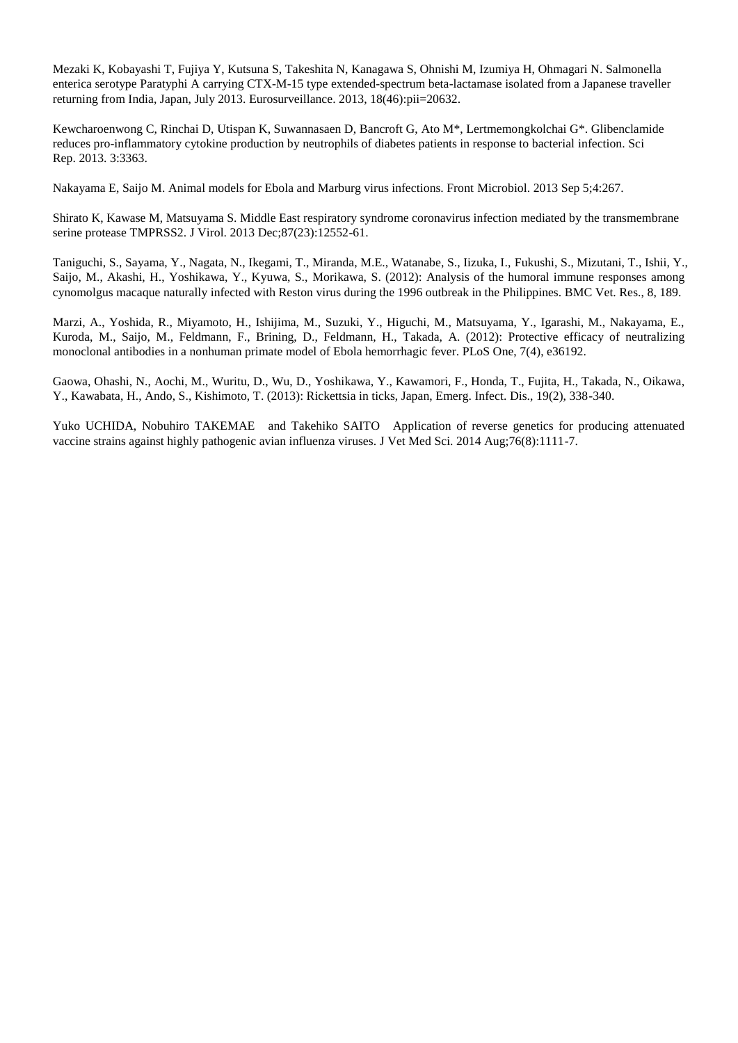Mezaki K, Kobayashi T, Fujiya Y, Kutsuna S, Takeshita N, Kanagawa S, Ohnishi M, Izumiya H, Ohmagari N. Salmonella enterica serotype Paratyphi A carrying CTX-M-15 type extended-spectrum beta-lactamase isolated from a Japanese traveller returning from India, Japan, July 2013. Eurosurveillance. 2013, 18(46):pii=20632.

Kewcharoenwong C, Rinchai D, Utispan K, Suwannasaen D, Bancroft G, Ato M\*, Lertmemongkolchai G\*. Glibenclamide reduces pro-inflammatory cytokine production by neutrophils of diabetes patients in response to bacterial infection. Sci Rep. 2013. 3:3363.

Nakayama E, Saijo M. Animal models for Ebola and Marburg virus infections. Front Microbiol. 2013 Sep 5;4:267.

Shirato K, Kawase M, Matsuyama S. Middle East respiratory syndrome coronavirus infection mediated by the transmembrane serine protease TMPRSS2. J Virol. 2013 Dec;87(23):12552-61.

Taniguchi, S., Sayama, Y., Nagata, N., Ikegami, T., Miranda, M.E., Watanabe, S., Iizuka, I., Fukushi, S., Mizutani, T., Ishii, Y., Saijo, M., Akashi, H., Yoshikawa, Y., Kyuwa, S., Morikawa, S. (2012): Analysis of the humoral immune responses among cynomolgus macaque naturally infected with Reston virus during the 1996 outbreak in the Philippines. BMC Vet. Res., 8, 189.

Marzi, A., Yoshida, R., Miyamoto, H., Ishijima, M., Suzuki, Y., Higuchi, M., Matsuyama, Y., Igarashi, M., Nakayama, E., Kuroda, M., Saijo, M., Feldmann, F., Brining, D., Feldmann, H., Takada, A. (2012): Protective efficacy of neutralizing monoclonal antibodies in a nonhuman primate model of Ebola hemorrhagic fever. PLoS One, 7(4), e36192.

Gaowa, Ohashi, N., Aochi, M., Wuritu, D., Wu, D., Yoshikawa, Y., Kawamori, F., Honda, T., Fujita, H., Takada, N., Oikawa, Y., Kawabata, H., Ando, S., Kishimoto, T. (2013): Rickettsia in ticks, Japan, Emerg. Infect. Dis., 19(2), 338-340.

Yuko UCHIDA, Nobuhiro TAKEMAE and Takehiko SAITO Application of reverse genetics for producing attenuated vaccine strains against highly pathogenic avian influenza viruses. J Vet Med Sci. 2014 Aug;76(8):1111-7.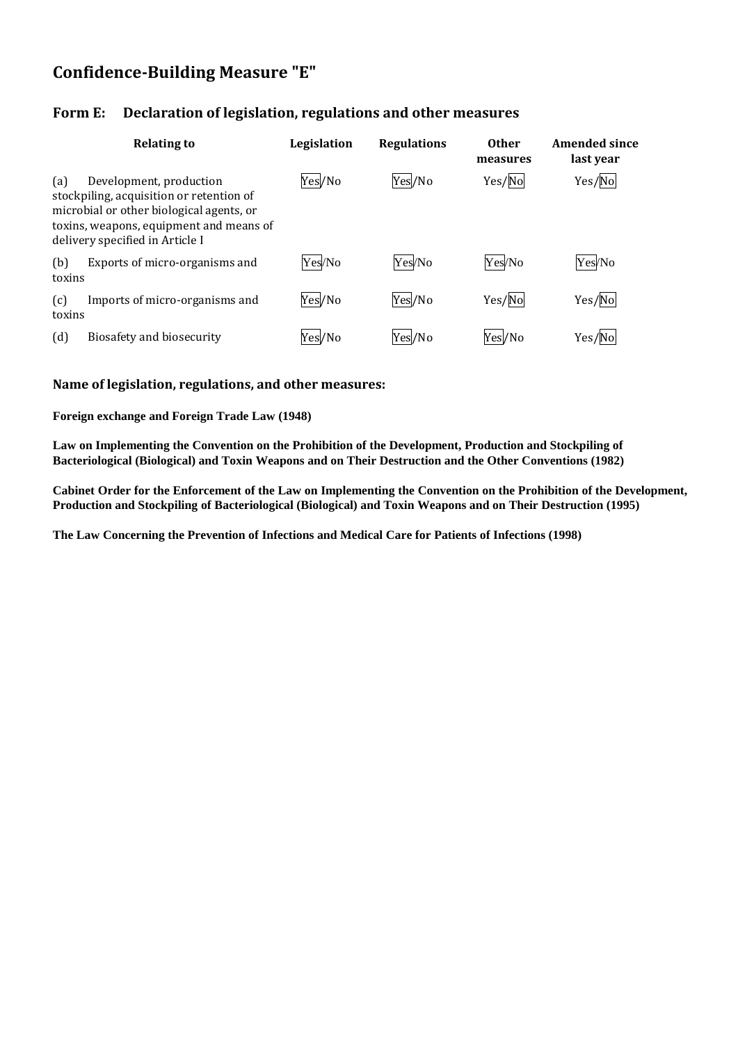## **Confidence-Building Measure "E"**

## **Form E: Declaration of legislation, regulations and other measures**

|               | <b>Relating to</b>                                                                                                                                                                            | Legislation | <b>Regulations</b> | <b>Other</b><br>measures | <b>Amended since</b><br>last year |
|---------------|-----------------------------------------------------------------------------------------------------------------------------------------------------------------------------------------------|-------------|--------------------|--------------------------|-----------------------------------|
| (a)           | Development, production<br>stockpiling, acquisition or retention of<br>microbial or other biological agents, or<br>toxins, weapons, equipment and means of<br>delivery specified in Article I | Yes/No      | Yes/No             | Yes/No                   | Yes/No                            |
| (b)<br>toxins | Exports of micro-organisms and                                                                                                                                                                | Yes/No      | Yes/No             | Yes/No                   | Yes/No                            |
| (c)<br>toxins | Imports of micro-organisms and                                                                                                                                                                | Yes/No      | Yes/No             | Yes/No                   | Yes/No                            |
| (d)           | Biosafety and biosecurity                                                                                                                                                                     | Yes/No      | Yes/No             | Yes/No                   | Yes/No                            |

## **Name of legislation, regulations, and other measures:**

**Foreign exchange and Foreign Trade Law (1948)**

**Law on Implementing the Convention on the Prohibition of the Development, Production and Stockpiling of Bacteriological (Biological) and Toxin Weapons and on Their Destruction and the Other Conventions (1982)**

**Cabinet Order for the Enforcement of the Law on Implementing the Convention on the Prohibition of the Development, Production and Stockpiling of Bacteriological (Biological) and Toxin Weapons and on Their Destruction (1995)**

**The Law Concerning the Prevention of Infections and Medical Care for Patients of Infections (1998)**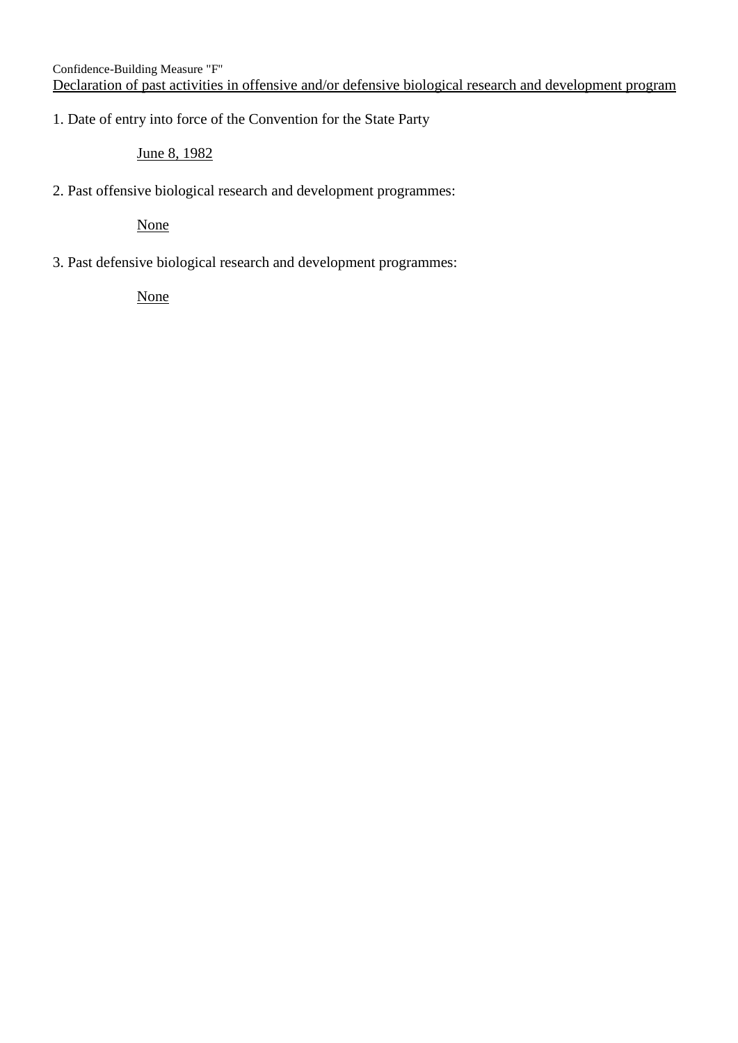## 1. Date of entry into force of the Convention for the State Party

June 8, 1982

2. Past offensive biological research and development programmes:

None

3. Past defensive biological research and development programmes:

None